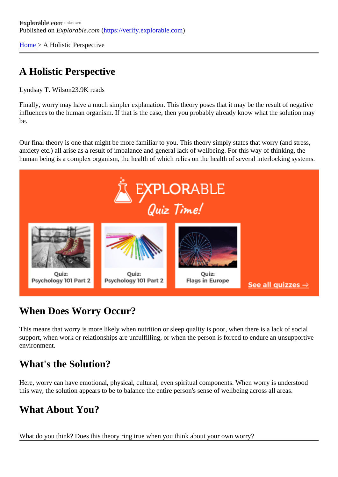[Home](https://verify.explorable.com/) > A Holistic Perspective

## A Holistic Perspective

Lyndsay T. Wilso@3.9K reads

Finally, worry may have a much simpler explanation. This theory poses that it may be the result of negativ influences to the human organism. If that is the case, then you probably already know what the solution m be.

Our final theory is one that might be more familiar to you. This theory simply states that worry (and stress, anxiety etc.) all arise as a result of imbalance and general lack of wellbeing. For this way of thinking, the human being is a complex organism, the health of which relies on the health of several interlocking system

## When Does Worry Occur?

This means that worry is more likely when nutrition or sleep quality is poor, when there is a lack of social support, when work or relationships are unfulfilling, or when the person is forced to endure an unsupportive environment.

## What's the Solution?

Here, worry can have emotional, physical, cultural, even spiritual components. When worry is understood this way, the solution appears to be to balance the entire person's sense of wellbeing across all areas.

## What About You?

What do you think? Does this theory ring true when you think about your own worry?